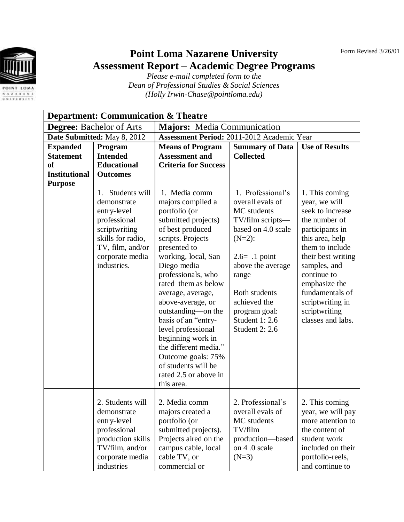Form Revised 3/26/01



## **Point Loma Nazarene University Assessment Report – Academic Degree Programs**

*Please e-mail completed form to the Dean of Professional Studies & Social Sciences (Holly Irwin-Chase@pointloma.edu)*

| <b>Department: Communication &amp; Theatre</b> |                                                                                                                                                               |                                                                                                                                                                                                                                                                                                                                                                                                                                                         |                                                                                                                                                                                                                                                                  |                                                                                                                                                                                                                                                                                  |  |  |  |
|------------------------------------------------|---------------------------------------------------------------------------------------------------------------------------------------------------------------|---------------------------------------------------------------------------------------------------------------------------------------------------------------------------------------------------------------------------------------------------------------------------------------------------------------------------------------------------------------------------------------------------------------------------------------------------------|------------------------------------------------------------------------------------------------------------------------------------------------------------------------------------------------------------------------------------------------------------------|----------------------------------------------------------------------------------------------------------------------------------------------------------------------------------------------------------------------------------------------------------------------------------|--|--|--|
| <b>Degree:</b> Bachelor of Arts                |                                                                                                                                                               | <b>Majors:</b> Media Communication                                                                                                                                                                                                                                                                                                                                                                                                                      |                                                                                                                                                                                                                                                                  |                                                                                                                                                                                                                                                                                  |  |  |  |
| Date Submitted: May 8, 2012                    |                                                                                                                                                               | Assessment Period: 2011-2012 Academic Year                                                                                                                                                                                                                                                                                                                                                                                                              |                                                                                                                                                                                                                                                                  |                                                                                                                                                                                                                                                                                  |  |  |  |
| <b>Expanded</b>                                | Program                                                                                                                                                       | <b>Means of Program</b>                                                                                                                                                                                                                                                                                                                                                                                                                                 | <b>Summary of Data</b>                                                                                                                                                                                                                                           | <b>Use of Results</b>                                                                                                                                                                                                                                                            |  |  |  |
| <b>Statement</b>                               | <b>Intended</b>                                                                                                                                               | <b>Assessment and</b>                                                                                                                                                                                                                                                                                                                                                                                                                                   | <b>Collected</b>                                                                                                                                                                                                                                                 |                                                                                                                                                                                                                                                                                  |  |  |  |
| <b>of</b>                                      | <b>Educational</b>                                                                                                                                            | <b>Criteria for Success</b>                                                                                                                                                                                                                                                                                                                                                                                                                             |                                                                                                                                                                                                                                                                  |                                                                                                                                                                                                                                                                                  |  |  |  |
| <b>Institutional</b>                           | <b>Outcomes</b>                                                                                                                                               |                                                                                                                                                                                                                                                                                                                                                                                                                                                         |                                                                                                                                                                                                                                                                  |                                                                                                                                                                                                                                                                                  |  |  |  |
| <b>Purpose</b>                                 | Students will<br>1.<br>demonstrate<br>entry-level<br>professional<br>scriptwriting<br>skills for radio,<br>TV, film, and/or<br>corporate media<br>industries. | 1. Media comm<br>majors compiled a<br>portfolio (or<br>submitted projects)<br>of best produced<br>scripts. Projects<br>presented to<br>working, local, San<br>Diego media<br>professionals, who<br>rated them as below<br>average, average,<br>above-average, or<br>outstanding-on the<br>basis of an "entry-<br>level professional<br>beginning work in<br>the different media."<br>Outcome goals: 75%<br>of students will be<br>rated 2.5 or above in | 1. Professional's<br>overall evals of<br>MC students<br>TV/film scripts-<br>based on 4.0 scale<br>$(N=2)$ :<br>$2.6= .1$ point<br>above the average<br>range<br><b>Both students</b><br>achieved the<br>program goal:<br>Student 1: 2.6<br><b>Student 2: 2.6</b> | 1. This coming<br>year, we will<br>seek to increase<br>the number of<br>participants in<br>this area, help<br>them to include<br>their best writing<br>samples, and<br>continue to<br>emphasize the<br>fundamentals of<br>scriptwriting in<br>scriptwriting<br>classes and labs. |  |  |  |
|                                                | 2. Students will<br>demonstrate<br>entry-level<br>professional<br>production skills<br>TV/film, and/or<br>corporate media                                     | this area.<br>2. Media comm<br>majors created a<br>portfolio (or<br>submitted projects).<br>Projects aired on the<br>campus cable, local<br>cable TV, or                                                                                                                                                                                                                                                                                                | 2. Professional's<br>overall evals of<br>MC students<br>TV/film<br>production-based<br>on 4.0 scale<br>$(N=3)$                                                                                                                                                   | 2. This coming<br>year, we will pay<br>more attention to<br>the content of<br>student work<br>included on their<br>portfolio-reels,                                                                                                                                              |  |  |  |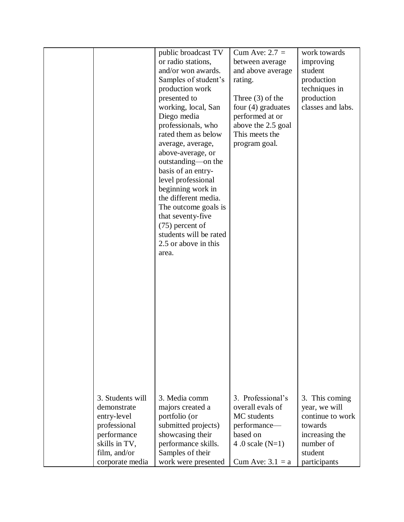|                  | public broadcast TV    | Cum Ave: $2.7 =$     | work towards      |
|------------------|------------------------|----------------------|-------------------|
|                  |                        |                      |                   |
|                  | or radio stations,     | between average      | improving         |
|                  | and/or won awards.     | and above average    | student           |
|                  | Samples of student's   | rating.              | production        |
|                  | production work        |                      | techniques in     |
|                  | presented to           | Three $(3)$ of the   | production        |
|                  | working, local, San    | four $(4)$ graduates | classes and labs. |
|                  | Diego media            | performed at or      |                   |
|                  | professionals, who     | above the 2.5 goal   |                   |
|                  | rated them as below    | This meets the       |                   |
|                  | average, average,      | program goal.        |                   |
|                  | above-average, or      |                      |                   |
|                  | outstanding—on the     |                      |                   |
|                  | basis of an entry-     |                      |                   |
|                  | level professional     |                      |                   |
|                  | beginning work in      |                      |                   |
|                  | the different media.   |                      |                   |
|                  | The outcome goals is   |                      |                   |
|                  | that seventy-five      |                      |                   |
|                  | $(75)$ percent of      |                      |                   |
|                  | students will be rated |                      |                   |
|                  | 2.5 or above in this   |                      |                   |
|                  | area.                  |                      |                   |
|                  |                        |                      |                   |
|                  |                        |                      |                   |
|                  |                        |                      |                   |
|                  |                        |                      |                   |
|                  |                        |                      |                   |
|                  |                        |                      |                   |
|                  |                        |                      |                   |
|                  |                        |                      |                   |
|                  |                        |                      |                   |
|                  |                        |                      |                   |
|                  |                        |                      |                   |
|                  |                        |                      |                   |
|                  |                        |                      |                   |
|                  |                        |                      |                   |
|                  |                        |                      |                   |
|                  |                        |                      |                   |
| 3. Students will | 3. Media comm          | 3. Professional's    | 3. This coming    |
| demonstrate      | majors created a       | overall evals of     | year, we will     |
| entry-level      | portfolio (or          | MC students          | continue to work  |
| professional     | submitted projects)    | performance—         | towards           |
| performance      | showcasing their       | based on             | increasing the    |
| skills in TV,    | performance skills.    | 4.0 scale $(N=1)$    | number of         |
| film, and/or     | Samples of their       |                      | student           |
| corporate media  | work were presented    | Cum Ave: $3.1 = a$   | participants      |